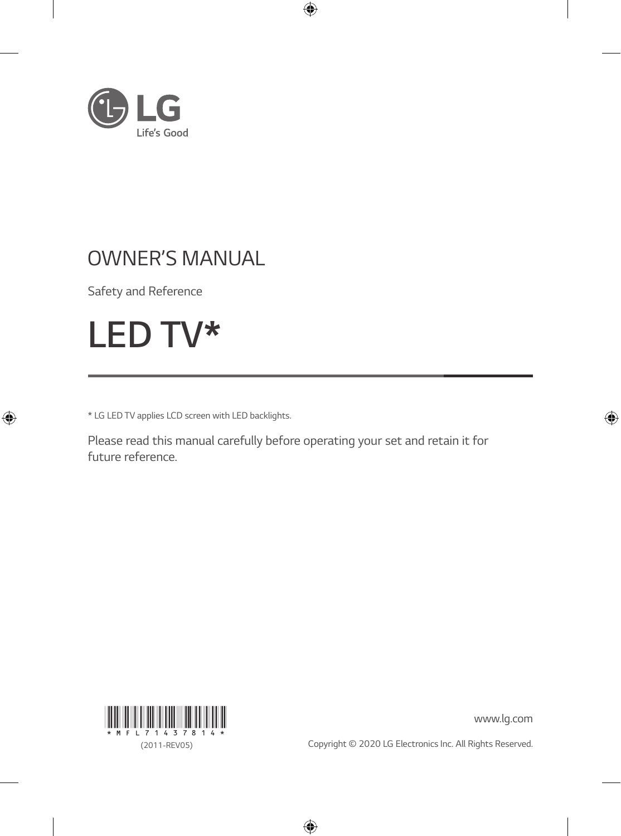

# *OWNER'S MANUAL*

*Safety and Reference*



*\* LG LED TV applies LCD screen with LED backlights.*

*Please read this manual carefully before operating your set and retain it for future reference.*



*www.lg.com*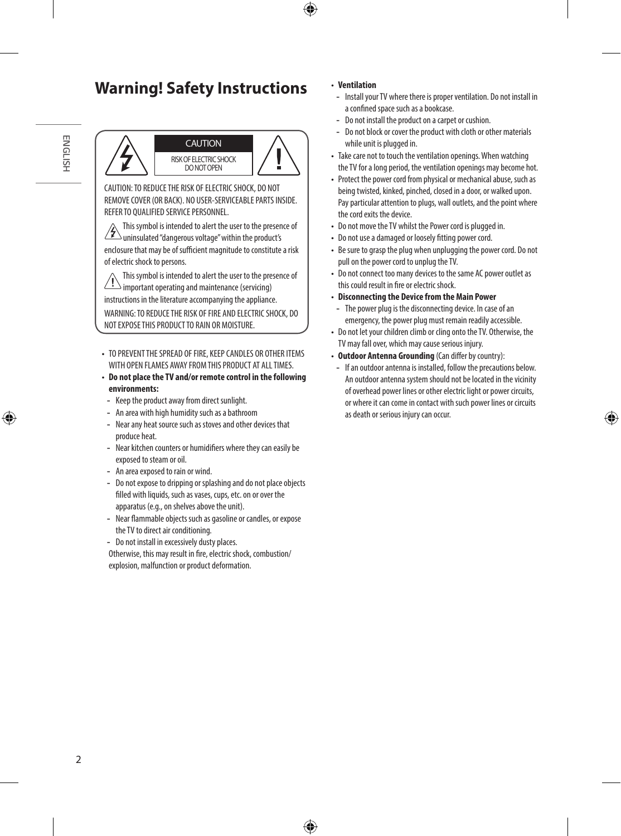# **Warning! Safety Instructions**





CAUTION: TO REDUCE THE RISK OF ELECTRIC SHOCK, DO NOT REMOVE COVER (OR BACK). NO USER-SERVICEABLE PARTS INSIDE. REFER TO QUALIFIED SERVICE PERSONNEL.

This symbol is intended to alert the user to the presence of  $\Delta$ uninsulated "dangerous voltage" within the product's enclosure that may be of sufficient magnitude to constitute a risk of electric shock to persons.

This symbol is intended to alert the user to the presence of important operating and maintenance (servicing) instructions in the literature accompanying the appliance. WARNING: TO REDUCE THE RISK OF FIRE AND ELECTRIC SHOCK, DO NOT EXPOSE THIS PRODUCT TO RAIN OR MOISTURE.

- TO PREVENT THE SPREAD OF FIRE, KEEP CANDLES OR OTHER ITEMS WITH OPEN FLAMES AWAY FROM THIS PRODUCT AT ALL TIMES.
- **Do not place the TV and/or remote control in the following environments:**
- Keep the product away from direct sunlight.
- An area with high humidity such as a bathroom
- Near any heat source such as stoves and other devices that produce heat.
- Near kitchen counters or humidifiers where they can easily be exposed to steam or oil.
- An area exposed to rain or wind.
- Do not expose to dripping or splashing and do not place objects filled with liquids, such as vases, cups, etc. on or over the apparatus (e.g., on shelves above the unit).
- Near flammable objects such as gasoline or candles, or expose the TV to direct air conditioning.
- Do not install in excessively dusty places.

Otherwise, this may result in fire, electric shock, combustion/ explosion, malfunction or product deformation.

#### • **Ventilation**

- Install your TV where there is proper ventilation. Do not install in a confined space such as a bookcase.
- Do not install the product on a carpet or cushion.
- Do not block or cover the product with cloth or other materials while unit is plugged in.
- Take care not to touch the ventilation openings. When watching the TV for a long period, the ventilation openings may become hot.
- Protect the power cord from physical or mechanical abuse, such as being twisted, kinked, pinched, closed in a door, or walked upon. Pay particular attention to plugs, wall outlets, and the point where the cord exits the device.
- Do not move the TV whilst the Power cord is plugged in.
- Do not use a damaged or loosely fitting power cord.
- Be sure to grasp the plug when unplugging the power cord. Do not pull on the power cord to unplug the TV.
- Do not connect too many devices to the same AC power outlet as this could result in fire or electric shock.
- **Disconnecting the Device from the Main Power**
- The power plug is the disconnecting device. In case of an emergency, the power plug must remain readily accessible.
- Do not let your children climb or cling onto the TV. Otherwise, the TV may fall over, which may cause serious injury.
- **Outdoor Antenna Grounding** (Can differ by country):
- If an outdoor antenna is installed, follow the precautions below. An outdoor antenna system should not be located in the vicinity of overhead power lines or other electric light or power circuits, or where it can come in contact with such power lines or circuits as death or serious injury can occur.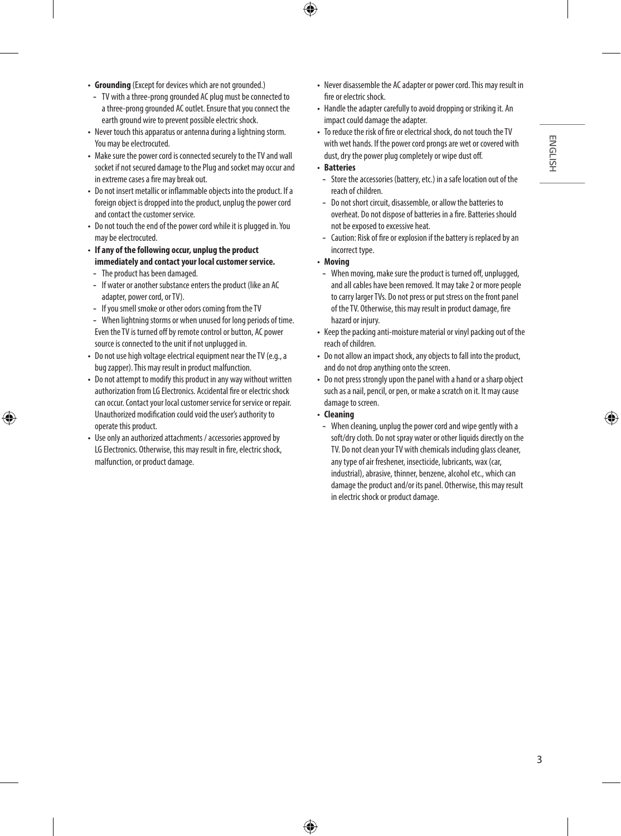- **Grounding** (Except for devices which are not grounded.)
- TV with a three-prong grounded AC plug must be connected to a three-prong grounded AC outlet. Ensure that you connect the earth ground wire to prevent possible electric shock.
- Never touch this apparatus or antenna during a lightning storm. You may be electrocuted.
- Make sure the power cord is connected securely to the TV and wall socket if not secured damage to the Plug and socket may occur and in extreme cases a fire may break out.
- Do not insert metallic or inflammable objects into the product. If a foreign object is dropped into the product, unplug the power cord and contact the customer service.
- Do not touch the end of the power cord while it is plugged in. You may be electrocuted.
- **If any of the following occur, unplug the product immediately and contact your local customer service.**
	- The product has been damaged.
	- If water or another substance enters the product (like an AC adapter, power cord, or TV).
	- If you smell smoke or other odors coming from the TV
- When lightning storms or when unused for long periods of time. Even the TV is turned off by remote control or button, AC power source is connected to the unit if not unplugged in.
- Do not use high voltage electrical equipment near the TV (e.g., a bug zapper). This may result in product malfunction.
- Do not attempt to modify this product in any way without written authorization from LG Electronics. Accidental fire or electric shock can occur. Contact your local customer service for service or repair. Unauthorized modification could void the user's authority to operate this product.
- Use only an authorized attachments / accessories approved by LG Electronics. Otherwise, this may result in fire, electric shock, malfunction, or product damage.
- Never disassemble the AC adapter or power cord. This may result in fire or electric shock.
- Handle the adapter carefully to avoid dropping or striking it. An impact could damage the adapter.
- To reduce the risk of fire or electrical shock, do not touch the TV with wet hands. If the power cord prongs are wet or covered with dust, dry the power plug completely or wipe dust off.

#### • **Batteries**

- Store the accessories (battery, etc.) in a safe location out of the reach of children.
- Do not short circuit, disassemble, or allow the batteries to overheat. Do not dispose of batteries in a fire. Batteries should not be exposed to excessive heat.
- Caution: Risk of fire or explosion if the battery is replaced by an incorrect type.

#### • **Moving**

- When moving, make sure the product is turned off, unplugged, and all cables have been removed. It may take 2 or more people to carry larger TVs. Do not press or put stress on the front panel of the TV. Otherwise, this may result in product damage, fire hazard or injury.
- Keep the packing anti-moisture material or vinyl packing out of the reach of children.
- Do not allow an impact shock, any objects to fall into the product, and do not drop anything onto the screen.
- Do not press strongly upon the panel with a hand or a sharp object such as a nail, pencil, or pen, or make a scratch on it. It may cause damage to screen.
- **Cleaning**
	- When cleaning, unplug the power cord and wipe gently with a soft/dry cloth. Do not spray water or other liquids directly on the TV. Do not clean your TV with chemicals including glass cleaner, any type of air freshener, insecticide, lubricants, wax (car, industrial), abrasive, thinner, benzene, alcohol etc., which can damage the product and/or its panel. Otherwise, this may result in electric shock or product damage.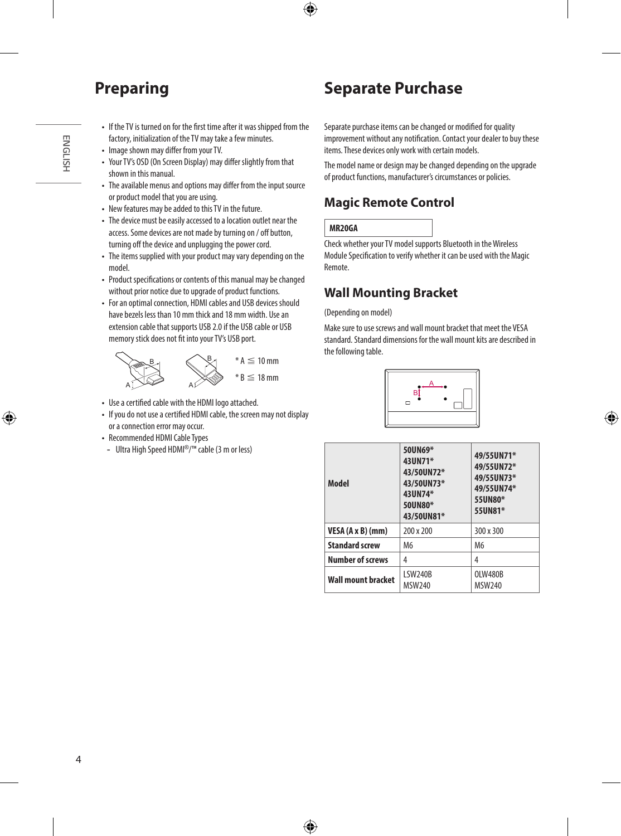# **Preparing**

### **Separate Purchase**

- If the TV is turned on for the first time after it was shipped from the factory, initialization of the TV may take a few minutes.
- Image shown may differ from your TV.
- Your TV's OSD (On Screen Display) may differ slightly from that shown in this manual.
- The available menus and options may differ from the input source or product model that you are using.
- New features may be added to this TV in the future.
- The device must be easily accessed to a location outlet near the access. Some devices are not made by turning on / off button, turning off the device and unplugging the power cord.
- The items supplied with your product may vary depending on the model.
- Product specifications or contents of this manual may be changed without prior notice due to upgrade of product functions.
- For an optimal connection, HDMI cables and USB devices should have bezels less than 10 mm thick and 18 mm width. Use an extension cable that supports USB 2.0 if the USB cable or USB memory stick does not fit into your TV's USB port.





- Use a certified cable with the HDMI logo attached.
- If you do not use a certified HDMI cable, the screen may not display or a connection error may occur.
- Recommended HDMI Cable Types
- Ultra High Speed HDMI®/™ cable (3 m or less)

Separate purchase items can be changed or modified for quality improvement without any notification. Contact your dealer to buy these items. These devices only work with certain models.

The model name or design may be changed depending on the upgrade of product functions, manufacturer's circumstances or policies.

### **Magic Remote Control**

### **MR20GA**

Check whether your TV model supports Bluetooth in the Wireless Module Specification to verify whether it can be used with the Magic Remote.

### **Wall Mounting Bracket**

#### (Depending on model)

Make sure to use screws and wall mount bracket that meet the VESA standard. Standard dimensions for the wall mount kits are described in the following table.



| Model                     | 50UN69*<br>43UN71*<br>43/50UN72*<br>43/50UN73*<br>43UN74*<br>50UN80*<br>43/50UN81* | 49/55UN71*<br>49/55UN72*<br>49/55UN73*<br>49/55UN74*<br>55UN80*<br>55UN81* |
|---------------------------|------------------------------------------------------------------------------------|----------------------------------------------------------------------------|
| VESA (A x B) (mm)         | 200 x 200                                                                          | 300 x 300                                                                  |
| <b>Standard screw</b>     | M <sub>6</sub>                                                                     | M <sub>6</sub>                                                             |
| <b>Number of screws</b>   | 4                                                                                  | 4                                                                          |
| <b>Wall mount bracket</b> | <b>LSW240B</b><br><b>MSW240</b>                                                    | <b>OLW480B</b><br><b>MSW240</b>                                            |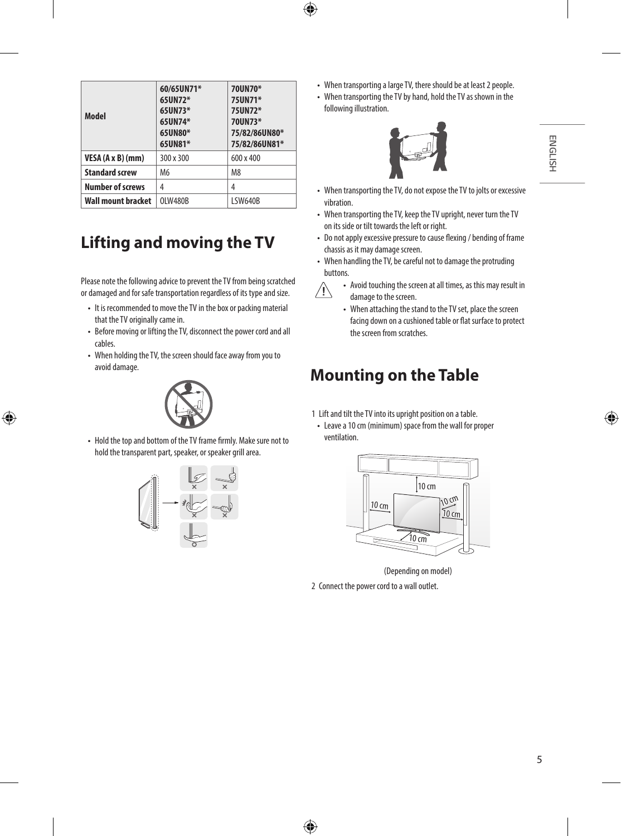| <b>Model</b>              | 60/65UN71*<br>65UN72*<br>65UN73*<br>65UN74*<br>65UN80*<br>65UN81* | 70UN70*<br>75UN71*<br>75UN72*<br>70UN73*<br>75/82/86UN80*<br>75/82/86UN81* |
|---------------------------|-------------------------------------------------------------------|----------------------------------------------------------------------------|
| $VESA (A \times B) (mm)$  | 300 x 300                                                         | 600 x 400                                                                  |
| <b>Standard screw</b>     | M6                                                                | M <sub>8</sub>                                                             |
| <b>Number of screws</b>   | 4                                                                 | 4                                                                          |
| <b>Wall mount bracket</b> | <b>OLW480B</b>                                                    | <b>LSW640B</b>                                                             |

# **Lifting and moving the TV**

Please note the following advice to prevent the TV from being scratched or damaged and for safe transportation regardless of its type and size.

- It is recommended to move the TV in the box or packing material that the TV originally came in.
- Before moving or lifting the TV, disconnect the power cord and all cables.
- When holding the TV, the screen should face away from you to avoid damage.



• Hold the top and bottom of the TV frame firmly. Make sure not to hold the transparent part, speaker, or speaker grill area.



- When transporting a large TV, there should be at least 2 people.
- When transporting the TV by hand, hold the TV as shown in the following illustration.



- When transporting the TV, do not expose the TV to jolts or excessive vibration.
- When transporting the TV, keep the TV upright, never turn the TV on its side or tilt towards the left or right.
- Do not apply excessive pressure to cause flexing / bending of frame chassis as it may damage screen.
- When handling the TV, be careful not to damage the protruding buttons.
	- Avoid touching the screen at all times, as this may result in damage to the screen.
		- When attaching the stand to the TV set, place the screen facing down on a cushioned table or flat surface to protect the screen from scratches.

### **Mounting on the Table**

/I\

- 1 Lift and tilt the TV into its upright position on a table.
	- Leave a 10 cm (minimum) space from the wall for proper ventilation.



(Depending on model)

2 Connect the power cord to a wall outlet.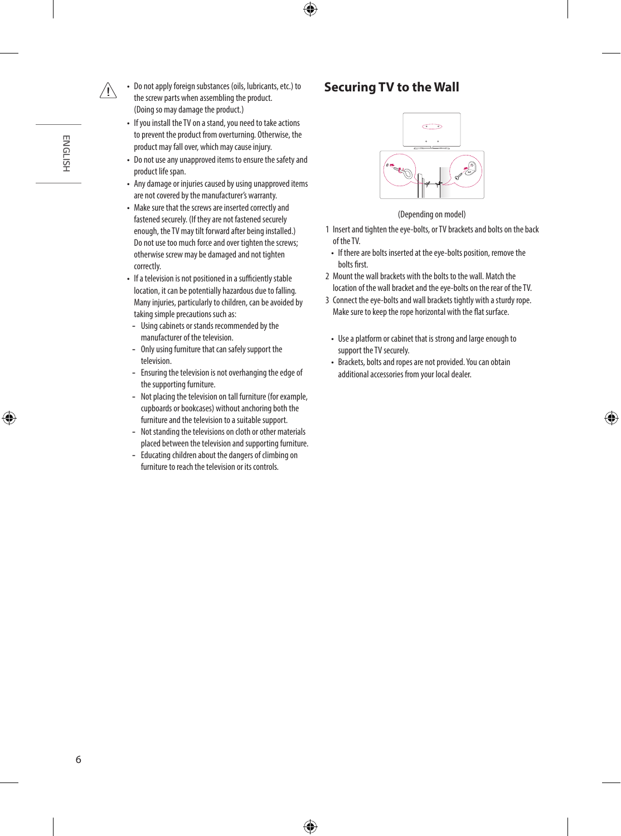- Do not apply foreign substances (oils, lubricants, etc.) to the screw parts when assembling the product. (Doing so may damage the product.)
	- If you install the TV on a stand, you need to take actions to prevent the product from overturning. Otherwise, the product may fall over, which may cause injury.
	- Do not use any unapproved items to ensure the safety and product life span.
	- Any damage or injuries caused by using unapproved items are not covered by the manufacturer's warranty.
	- Make sure that the screws are inserted correctly and fastened securely. (If they are not fastened securely enough, the TV may tilt forward after being installed.) Do not use too much force and over tighten the screws; otherwise screw may be damaged and not tighten correctly.
	- If a television is not positioned in a sufficiently stable location, it can be potentially hazardous due to falling. Many injuries, particularly to children, can be avoided by taking simple precautions such as:
		- Using cabinets or stands recommended by the manufacturer of the television.
	- Only using furniture that can safely support the television.
	- Ensuring the television is not overhanging the edge of the supporting furniture.
	- Not placing the television on tall furniture (for example, cupboards or bookcases) without anchoring both the furniture and the television to a suitable support.
	- Not standing the televisions on cloth or other materials placed between the television and supporting furniture.
	- Educating children about the dangers of climbing on furniture to reach the television or its controls.

### **Securing TV to the Wall**



(Depending on model)

- 1 Insert and tighten the eye-bolts, or TV brackets and bolts on the back of the TV.
	- If there are bolts inserted at the eye-bolts position, remove the bolts first.
- 2 Mount the wall brackets with the bolts to the wall. Match the location of the wall bracket and the eye-bolts on the rear of the TV.
- 3 Connect the eye-bolts and wall brackets tightly with a sturdy rope. Make sure to keep the rope horizontal with the flat surface.
	- Use a platform or cabinet that is strong and large enough to support the TV securely.
	- Brackets, bolts and ropes are not provided. You can obtain additional accessories from your local dealer.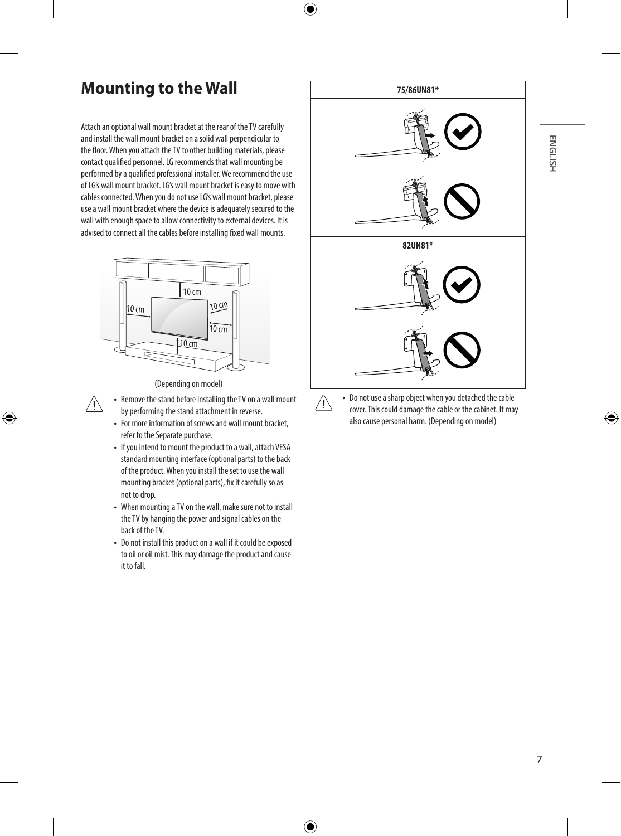## **Mounting to the Wall**

Attach an optional wall mount bracket at the rear of the TV carefully and install the wall mount bracket on a solid wall perpendicular to the floor. When you attach the TV to other building materials, please contact qualified personnel. LG recommends that wall mounting be performed by a qualified professional installer. We recommend the use of LG's wall mount bracket. LG's wall mount bracket is easy to move with cables connected. When you do not use LG's wall mount bracket, please use a wall mount bracket where the device is adequately secured to the wall with enough space to allow connectivity to external devices. It is advised to connect all the cables before installing fixed wall mounts.



(Depending on model)

- Remove the stand before installing the TV on a wall mount  $\sqrt{N}$ by performing the stand attachment in reverse.
	- For more information of screws and wall mount bracket, refer to the Separate purchase.
	- If you intend to mount the product to a wall, attach VESA standard mounting interface (optional parts) to the back of the product. When you install the set to use the wall mounting bracket (optional parts), fix it carefully so as not to drop.
	- When mounting a TV on the wall, make sure not to install the TV by hanging the power and signal cables on the back of the TV.
	- Do not install this product on a wall if it could be exposed to oil or oil mist. This may damage the product and cause it to fall.



 $\bigwedge$ 

• Do not use a sharp object when you detached the cable cover. This could damage the cable or the cabinet. It may also cause personal harm. (Depending on model)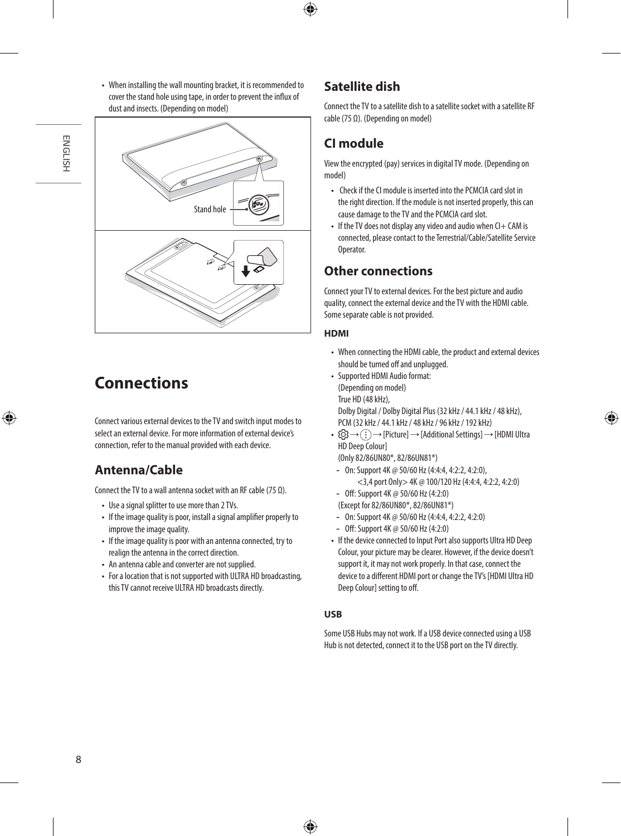• When installing the wall mounting bracket, it is recommended to cover the stand hole using tape, in order to prevent the influx of dust and insects. (Depending on model)



# **Connections**

Connect various external devices to the TV and switch input modes to select an external device. For more information of external device's connection, refer to the manual provided with each device.

### **Antenna/Cable**

Connect the TV to a wall antenna socket with an RF cable (75 Ω).

- Use a signal splitter to use more than 2 TVs.
- If the image quality is poor, install a signal amplifier properly to improve the image quality.
- If the image quality is poor with an antenna connected, try to realign the antenna in the correct direction.
- An antenna cable and converter are not supplied.
- For a location that is not supported with ULTRA HD broadcasting, this TV cannot receive ULTRA HD broadcasts directly.

### **Satellite dish**

Connect the TV to a satellite dish to a satellite socket with a satellite RF cable (75 Ω). (Depending on model)

### **CI module**

View the encrypted (pay) services in digital TV mode. (Depending on model)

- Check if the CI module is inserted into the PCMCIA card slot in the right direction. If the module is not inserted properly, this can cause damage to the TV and the PCMCIA card slot.
- If the TV does not display any video and audio when  $CI + CAM$  is connected, please contact to the Terrestrial/Cable/Satellite Service Operator.

### **Other connections**

Connect your TV to external devices. For the best picture and audio quality, connect the external device and the TV with the HDMI cable. Some separate cable is not provided.

#### **HDMI**

- When connecting the HDMI cable, the product and external devices should be turned off and unplugged.
- Supported HDMI Audio format: (Depending on model) True HD (48 kHz), Dolby Digital / Dolby Digital Plus (32 kHz / 44.1 kHz / 48 kHz), PCM (32 kHz / 44.1 kHz / 48 kHz / 96 kHz / 192 kHz)
- $\langle \bigcirc \rangle \rightarrow$  [Picture]  $\rightarrow$  [Additional Settings]  $\rightarrow$  [HDMI Ultra HD Deep Colour]
	- (Only 82/86UN80\*, 82/86UN81\*)
- On: Support 4K @ 50/60 Hz (4:4:4, 4:2:2, 4:2:0), <3,4 port Only> 4K @ 100/120 Hz (4:4:4, 4:2:2, 4:2:0)
- Off: Support 4K @ 50/60 Hz (4:2:0) (Except for 82/86UN80\*, 82/86UN81\*)
- On: Support 4K @ 50/60 Hz (4:4:4, 4:2:2, 4:2:0)
- Off: Support 4K @ 50/60 Hz (4:2:0)
- If the device connected to Input Port also supports Ultra HD Deep Colour, your picture may be clearer. However, if the device doesn't support it, it may not work properly. In that case, connect the device to a different HDMI port or change the TV's [HDMI Ultra HD Deep Colour] setting to off.

### **USB**

Some USB Hubs may not work. If a USB device connected using a USB Hub is not detected, connect it to the USB port on the TV directly.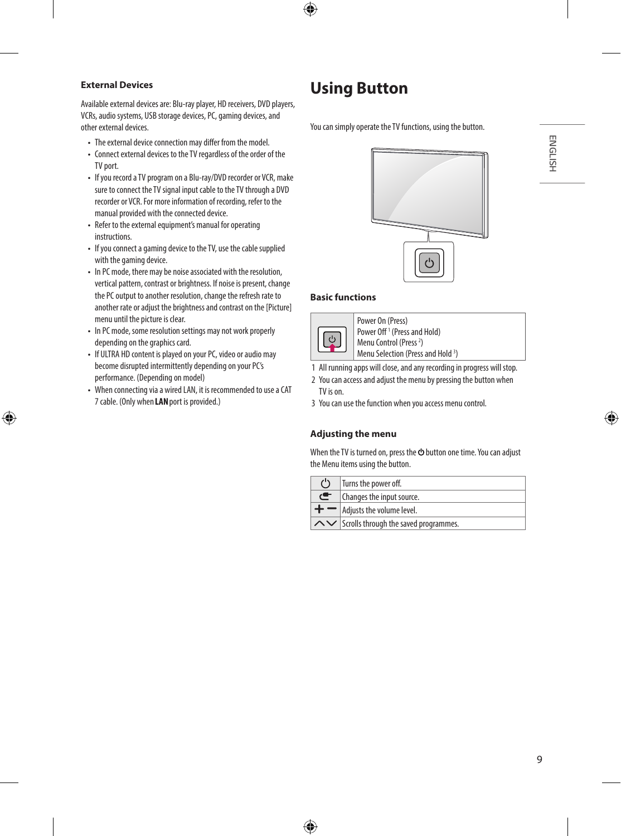#### **External Devices**

Available external devices are: Blu-ray player, HD receivers, DVD players, VCRs, audio systems, USB storage devices, PC, gaming devices, and other external devices.

- The external device connection may differ from the model.
- Connect external devices to the TV regardless of the order of the TV port.
- If you record a TV program on a Blu-ray/DVD recorder or VCR, make sure to connect the TV signal input cable to the TV through a DVD recorder or VCR. For more information of recording, refer to the manual provided with the connected device.
- Refer to the external equipment's manual for operating instructions.
- If you connect a gaming device to the TV, use the cable supplied with the gaming device.
- In PC mode, there may be noise associated with the resolution, vertical pattern, contrast or brightness. If noise is present, change the PC output to another resolution, change the refresh rate to another rate or adjust the brightness and contrast on the [Picture] menu until the picture is clear.
- In PC mode, some resolution settings may not work properly depending on the graphics card.
- If ULTRA HD content is played on your PC, video or audio may become disrupted intermittently depending on your PC's performance. (Depending on model)
- When connecting via a wired LAN, it is recommended to use a CAT 7 cable. (Only when LAN port is provided.)

### **Using Button**

You can simply operate the TV functions, using the button.



#### **Basic functions**



Power On (Press) Power Off<sup>1</sup> (Press and Hold) Menu Control (Press<sup>2</sup>) Menu Selection (Press and Hold <sup>3</sup>)

- 1 All running apps will close, and any recording in progress will stop.
- 2 You can access and adjust the menu by pressing the button when TV is on.
- 3 You can use the function when you access menu control.

#### **Adjusting the menu**

When the TV is turned on, press the  $\Phi$  button one time. You can adjust the Menu items using the button.

| $^{\prime}$ | Turns the power off.                         |
|-------------|----------------------------------------------|
| ⊂           | Changes the input source.                    |
|             | Adjusts the volume level.                    |
|             | $\sim$ Scrolls through the saved programmes. |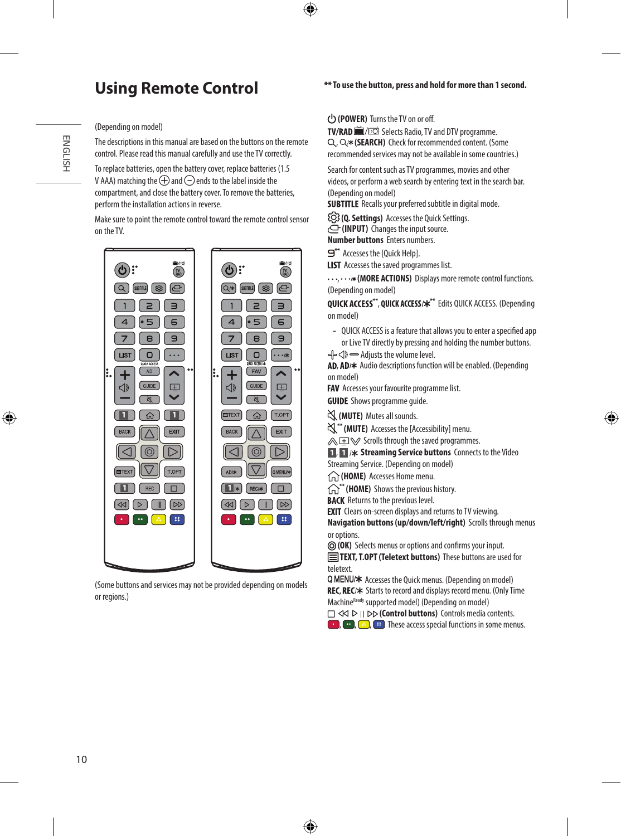# **Using Remote Control**

**ENGLISH** *ENGLISH\_Index*

(Depending on model)

The descriptions in this manual are based on the buttons on the remote control. Please read this manual carefully and use the TV correctly.

To replace batteries, open the battery cover, replace batteries (1.5 V AAA) matching the  $\bigoplus$  and  $\bigodot$  ends to the label inside the compartment, and close the battery cover. To remove the batteries, perform the installation actions in reverse.

Make sure to point the remote control toward the remote control sensor on the TV.



(Some buttons and services may not be provided depending on models or regions.)

#### **(POWER)** Turns the TV on or off.

**TV/RAD**  $\tilde{=}$ / $\Xi$  Selects Radio, TV and DTV programme. , **(SEARCH)** Check for recommended content. (Some recommended services may not be available in some countries.)

Search for content such as TV programmes, movies and other videos, or perform a web search by entering text in the search bar. (Depending on model)

SUBTITLE Recalls your preferred subtitle in digital mode.

**(Q. Settings)** Accesses the Quick Settings.

**(INPUT)** Changes the input source. **Number buttons** Enters numbers.

 $\mathbf{S}^*$  Accesses the [Quick Help].

**LIST** Accesses the saved programmes list.

, **(MORE ACTIONS)** Displays more remote control functions. (Depending on model)

OUICK ACCESS\*\*, OUICK ACCESS/\* \*\* Edits OUICK ACCESS, (Depending on model)

- QUICK ACCESS is a feature that allows you to enter a specified app or Live TV directly by pressing and holding the number buttons.

 $\leftarrow$   $\leftarrow$  Adjusts the volume level.

AD, AD/\* Audio descriptions function will be enabled. (Depending on model)

FAV Accesses your favourite programme list.

**GUIDE** Shows programme guide.

**(MUTE)** Mutes all sounds.

**(MUTE)** Accesses the [Accessibility] menu.

 $\triangle \boxplus \diamondsuit$  Scrolls through the saved programmes.

**11. 1 A** Streaming Service buttons Connects to the Video

Streaming Service. (Depending on model)

**(HOME)** Accesses Home menu.

**(f)**<sup>\*\*</sup> (HOME) Shows the previous history.

**BACK** Returns to the previous level.

**EXIT** Clears on-screen displays and returns to TV viewing.

**Navigation buttons (up/down/left/right)** Scrolls through menus or options.

**(OK)** Selects menus or options and confirms your input.

**TEXT, T.OPT (Teletext buttons)** These buttons are used for teletext.

Q.MENU/\* Accesses the Quick menus. (Depending on model) REC, REC/\* Starts to record and displays record menu. (Only Time Machine<sup>Ready</sup> supported model) (Depending on model)

**(Control buttons)** Controls media contents.

 $\Box$ ,  $\Box$ ,  $\Box$ ),  $\Box$  These access special functions in some menus.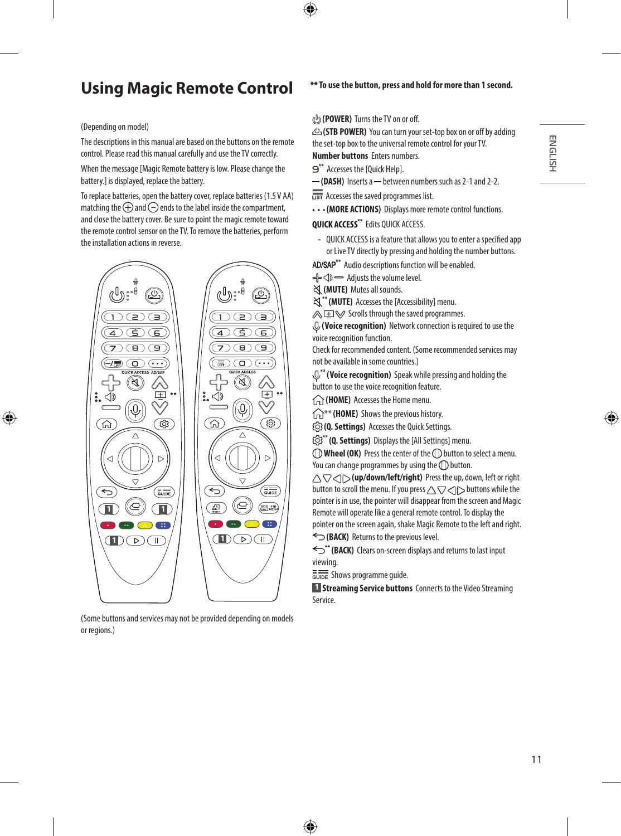# **Using Magic Remote Control**

#### (Depending on model)

The descriptions in this manual are based on the buttons on the remote control. Please read this manual carefully and use the TV correctly.

When the message [Magic Remote battery is low. Please change the battery.] is displayed, replace the battery.

To replace batteries, open the battery cover, replace batteries (1.5 V AA) matching the  $\bigoplus$  and  $\bigodot$  ends to the label inside the compartment, and close the battery cover. Be sure to point the magic remote toward the remote control sensor on the TV. To remove the batteries, perform the installation actions in reverse.



(Some buttons and services may not be provided depending on models or regions.)

#### **(POWER)** Turns the TV on or off.

**(STB POWER)** You can turn your set-top box on or off by adding the set-top box to the universal remote control for your TV. **Number buttons** Enters numbers.

- $\mathbf{P}^*$  Accesses the [Ouick Help].
- $-$  (DASH) Inserts a between numbers such as 2-1 and 2-2.
- Accesses the saved programmes list.
- **(MORE ACTIONS)** Displays more remote control functions.

#### **QUICK ACCESS\*\*** Edits OUICK ACCESS.

- QUICK ACCESS is a feature that allows you to enter a specified app or Live TV directly by pressing and holding the number buttons.
- AD/SAP<sup>\*\*</sup> Audio descriptions function will be enabled.
- < Adjusts the volume level.
- **(MUTE)** Mutes all sounds.
- **(MUTE)** Accesses the [Accessibility] menu.
- $\mathbb{R} \rightarrow \mathbb{R}$  Scrolls through the saved programmes.

**(Voice recognition)** Network connection is required to use the voice recognition function.

Check for recommended content. (Some recommended services may not be available in some countries.)

 $\psi$ <sup>\*\*</sup> (Voice recognition) Speak while pressing and holding the button to use the voice recognition feature.

**(HOME)** Accesses the Home menu.

 $\bigcap^{**}$  (HOME) Shows the previous history.

**(Q. Settings)** Accesses the Quick Settings.

 $\textcircled{c}$ <sup>3\*</sup> (Q. Settings) Displays the [All Settings] menu.

*(1)* Wheel (OK) Press the center of the *(1)* button to select a menu. You can change programmes by using the  $\mathbb D$  button.

△▽<1>(up/down/left/right) Press the up, down, left or right button to scroll the menu. If you press  $\wedge \triangledown \triangleleft \triangleright$  buttons while the pointer is in use, the pointer will disappear from the screen and Magic Remote will operate like a general remote control. To display the pointer on the screen again, shake Magic Remote to the left and right.

**(BACK)** Returns to the previous level.

**(BACK)** Clears on-screen displays and returns to last input viewing.

 $\frac{1}{\text{Gulpe}}$  Shows programme guide.

**1 Streaming Service buttons** Connects to the Video Streaming Service.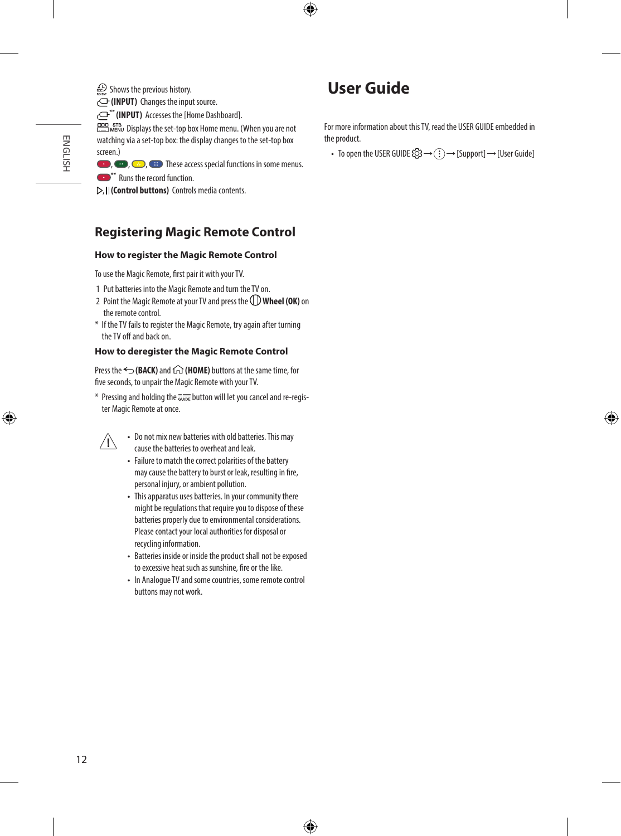- **ENGLISH** *ENGLISH\_Index*
- Shows the previous history.
- **(INPUT)** Changes the input source.
- **(INPUT)** Accesses the [Home Dashboard].

 $\overline{\mathbf{E}}$  are Displays the set-top box Home menu. (When you are not watching via a set-top box: the display changes to the set-top box screen.)

, , , These access special functions in some menus. **CO**<sup>\*\*</sup> Runs the record function.

, **(Control buttons)** Controls media contents.

### **Registering Magic Remote Control**

### **How to register the Magic Remote Control**

To use the Magic Remote, first pair it with your TV.

- 1 Put batteries into the Magic Remote and turn the TV on.
- 2 Point the Magic Remote at your TV and press the **Wheel (OK)** on the remote control.
- \* If the TV fails to register the Magic Remote, try again after turning the TV off and back on.

#### **How to deregister the Magic Remote Control**

Press the **(BACK)** and **(HOME)** buttons at the same time, for five seconds, to unpair the Magic Remote with your TV.

\* Pressing and holding the button will let you cancel and re-register Magic Remote at once.



• Do not mix new batteries with old batteries. This may cause the batteries to overheat and leak.

- Failure to match the correct polarities of the battery may cause the battery to burst or leak, resulting in fire, personal injury, or ambient pollution.
- This apparatus uses batteries. In your community there might be regulations that require you to dispose of these batteries properly due to environmental considerations. Please contact your local authorities for disposal or recycling information.
- Batteries inside or inside the product shall not be exposed to excessive heat such as sunshine, fire or the like.
- In Analogue TV and some countries, some remote control buttons may not work.

# **User Guide**

For more information about this TV, read the USER GUIDE embedded in the product.

• To open the USER GUIDE  $\widehat{\text{CD}} \to (\widehat{\cdot}) \to$  [Support]  $\to$  [User Guide]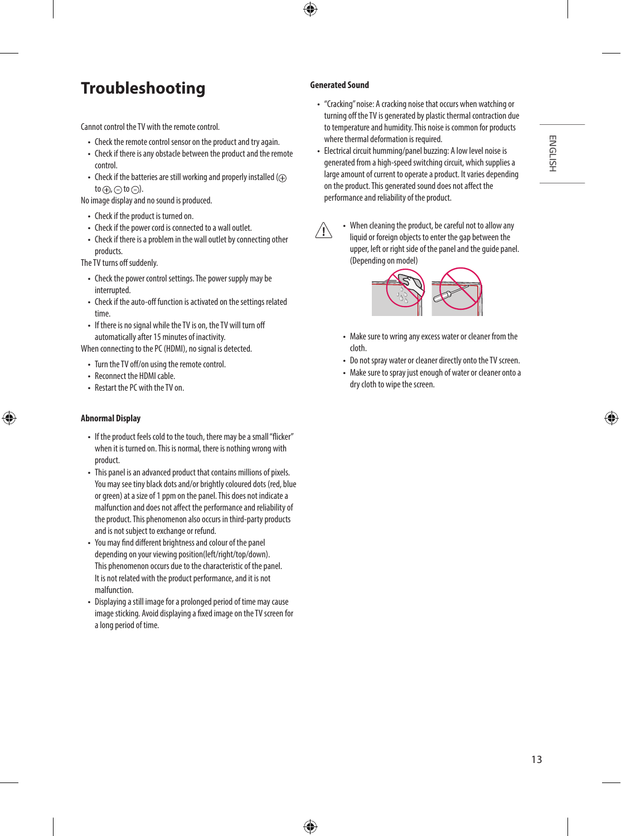# **Troubleshooting**

Cannot control the TV with the remote control.

- Check the remote control sensor on the product and try again.
- Check if there is any obstacle between the product and the remote control.
- Check if the batteries are still working and properly installed  $(\oplus)$ to  $\oplus$ ,  $\ominus$  to  $\ominus$ ).

No image display and no sound is produced.

- Check if the product is turned on.
- Check if the power cord is connected to a wall outlet.
- Check if there is a problem in the wall outlet by connecting other products.

The TV turns off suddenly.

- Check the power control settings. The power supply may be interrupted.
- Check if the auto-off function is activated on the settings related time.
- If there is no signal while the TV is on, the TV will turn off automatically after 15 minutes of inactivity.

When connecting to the PC (HDMI), no signal is detected.

- Turn the TV off/on using the remote control.
- Reconnect the HDMI cable.
- Restart the PC with the TV on.

#### **Abnormal Display**

- If the product feels cold to the touch, there may be a small "flicker" when it is turned on. This is normal, there is nothing wrong with product.
- This panel is an advanced product that contains millions of pixels. You may see tiny black dots and/or brightly coloured dots (red, blue or green) at a size of 1 ppm on the panel. This does not indicate a malfunction and does not affect the performance and reliability of the product. This phenomenon also occurs in third-party products and is not subject to exchange or refund.
- You may find different brightness and colour of the panel depending on your viewing position(left/right/top/down). This phenomenon occurs due to the characteristic of the panel. It is not related with the product performance, and it is not malfunction.
- Displaying a still image for a prolonged period of time may cause image sticking. Avoid displaying a fixed image on the TV screen for a long period of time.

#### **Generated Sound**

- "Cracking" noise: A cracking noise that occurs when watching or turning off the TV is generated by plastic thermal contraction due to temperature and humidity. This noise is common for products where thermal deformation is required.
- Electrical circuit humming/panel buzzing: A low level noise is generated from a high-speed switching circuit, which supplies a large amount of current to operate a product. It varies depending on the product. This generated sound does not affect the performance and reliability of the product.



• When cleaning the product, be careful not to allow any liquid or foreign objects to enter the gap between the upper, left or right side of the panel and the guide panel. (Depending on model)



- Make sure to wring any excess water or cleaner from the cloth.
- Do not spray water or cleaner directly onto the TV screen.
- Make sure to spray just enough of water or cleaner onto a dry cloth to wipe the screen.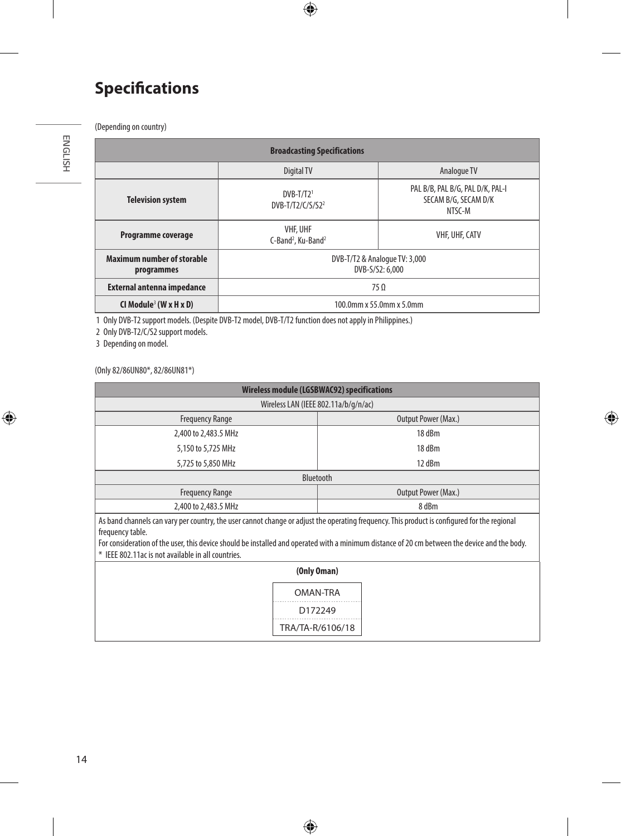# **Specifications**

| <b>Broadcasting Specifications</b>       |                                                               |                                                                    |
|------------------------------------------|---------------------------------------------------------------|--------------------------------------------------------------------|
|                                          | Digital TV                                                    | Analogue TV                                                        |
| <b>Television system</b>                 | $DVB-T/T21$<br>DVB-T/T2/C/S/S2 <sup>2</sup>                   | PAL B/B, PAL B/G, PAL D/K, PAL-I<br>SECAM B/G, SECAM D/K<br>NTSC-M |
| Programme coverage                       | <b>VHF, UHF</b><br>C-Band <sup>2</sup> , Ku-Band <sup>2</sup> | VHF, UHF, CATV                                                     |
| Maximum number of storable<br>programmes | DVB-T/T2 & Analogue TV: 3,000<br>DVB-S/S2: 6,000              |                                                                    |
| <b>External antenna impedance</b>        | 75 <sub>0</sub>                                               |                                                                    |
| CI Module <sup>3</sup> (W x H x D)       | 100.0mm x 55.0mm x 5.0mm                                      |                                                                    |

1 Only DVB-T2 support models. (Despite DVB-T2 model, DVB-T/T2 function does not apply in Philippines.)

2 Only DVB-T2/C/S2 support models.

3 Depending on model.

(Only 82/86UN80\*, 82/86UN81\*)

| Wireless module (LGSBWAC92) specifications                                                                                                                                                                                                                                                                                                                              |                     |  |
|-------------------------------------------------------------------------------------------------------------------------------------------------------------------------------------------------------------------------------------------------------------------------------------------------------------------------------------------------------------------------|---------------------|--|
| Wireless LAN (IEEE 802.11a/b/g/n/ac)                                                                                                                                                                                                                                                                                                                                    |                     |  |
| <b>Frequency Range</b>                                                                                                                                                                                                                                                                                                                                                  | Output Power (Max.) |  |
| 2,400 to 2,483.5 MHz                                                                                                                                                                                                                                                                                                                                                    | 18 dBm              |  |
| 5,150 to 5,725 MHz                                                                                                                                                                                                                                                                                                                                                      | 18 dBm              |  |
| 5,725 to 5,850 MHz                                                                                                                                                                                                                                                                                                                                                      | 12 dBm              |  |
| Bluetooth                                                                                                                                                                                                                                                                                                                                                               |                     |  |
| <b>Frequency Range</b>                                                                                                                                                                                                                                                                                                                                                  | Output Power (Max.) |  |
| 2,400 to 2,483.5 MHz                                                                                                                                                                                                                                                                                                                                                    | 8 dBm               |  |
| As band channels can vary per country, the user cannot change or adjust the operating frequency. This product is configured for the regional<br>frequency table.<br>For consideration of the user, this device should be installed and operated with a minimum distance of 20 cm between the device and the body.<br>* IEEE 802.11ac is not available in all countries. |                     |  |

| (Only Oman)      |
|------------------|
| OMAN-TRA         |
| D172249          |
| TRA/TA-R/6106/18 |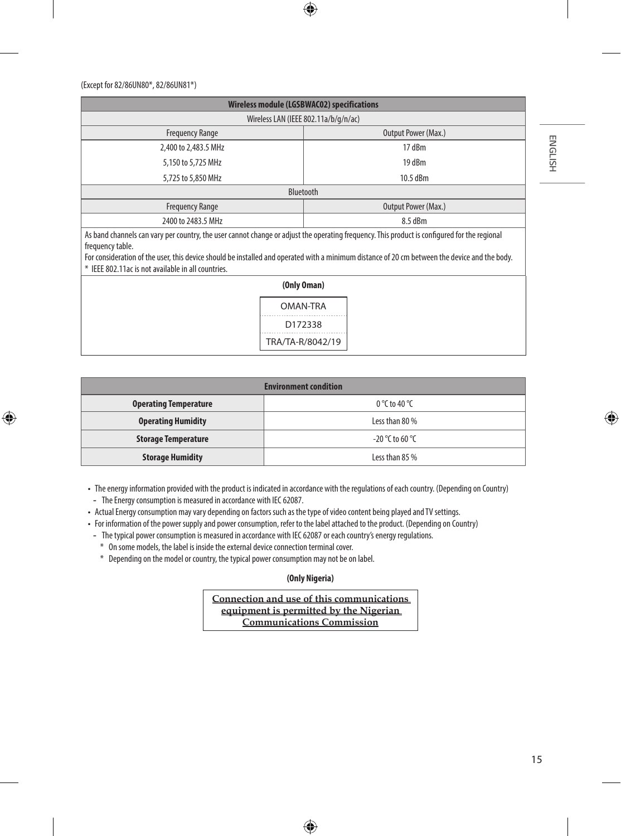| <b>Wireless module (LGSBWAC02) specifications</b>                                                                                                                                                                                  |                     |  |
|------------------------------------------------------------------------------------------------------------------------------------------------------------------------------------------------------------------------------------|---------------------|--|
| Wireless LAN (IEEE 802.11a/b/g/n/ac)                                                                                                                                                                                               |                     |  |
| <b>Frequency Range</b>                                                                                                                                                                                                             | Output Power (Max.) |  |
| 2,400 to 2,483.5 MHz                                                                                                                                                                                                               | 17 dBm              |  |
| 5,150 to 5,725 MHz                                                                                                                                                                                                                 | 19 dBm              |  |
| 5,725 to 5,850 MHz                                                                                                                                                                                                                 | 10.5 dBm            |  |
| Bluetooth                                                                                                                                                                                                                          |                     |  |
| <b>Frequency Range</b>                                                                                                                                                                                                             | Output Power (Max.) |  |
| 2400 to 2483.5 MHz                                                                                                                                                                                                                 | 8.5 dBm             |  |
| $\mathcal{A}$ . The contract of the contract of the contract of the contract of the contract of the contract of the contract of the contract of the contract of the contract of the contract of the contract of the contract of th |                     |  |

As band channels can vary per country, the user cannot change or adjust the operating frequency. This product is configured for the regional frequency table.

For consideration of the user, this device should be installed and operated with a minimum distance of 20 cm between the device and the body. \* IEEE 802.11ac is not available in all countries.

| TELL OVZ. I TAL IS HUL AVAIIADIC III AII CUUILITES. | (Only Oman)      |
|-----------------------------------------------------|------------------|
|                                                     | <b>OMAN-TRA</b>  |
|                                                     | D172338          |
|                                                     | TRA/TA-R/8042/19 |

| <b>Environment condition</b> |                   |  |
|------------------------------|-------------------|--|
| <b>Operating Temperature</b> | 0 °C to 40 °C     |  |
| <b>Operating Humidity</b>    | Less than 80 %    |  |
| <b>Storage Temperature</b>   | $-20$ °C to 60 °C |  |
| <b>Storage Humidity</b>      | Less than 85 %    |  |

- The energy information provided with the product is indicated in accordance with the regulations of each country. (Depending on Country) - The Energy consumption is measured in accordance with IEC 62087.
- Actual Energy consumption may vary depending on factors such as the type of video content being played and TV settings.
- For information of the power supply and power consumption, refer to the label attached to the product. (Depending on Country)
	- The typical power consumption is measured in accordance with IEC 62087 or each country's energy regulations.
		- \* On some models, the label is inside the external device connection terminal cover.
		- \* Depending on the model or country, the typical power consumption may not be on label.

#### **(Only Nigeria)**

**Connection and use of this communications equipment is permitted by the Nigerian Communications Commission**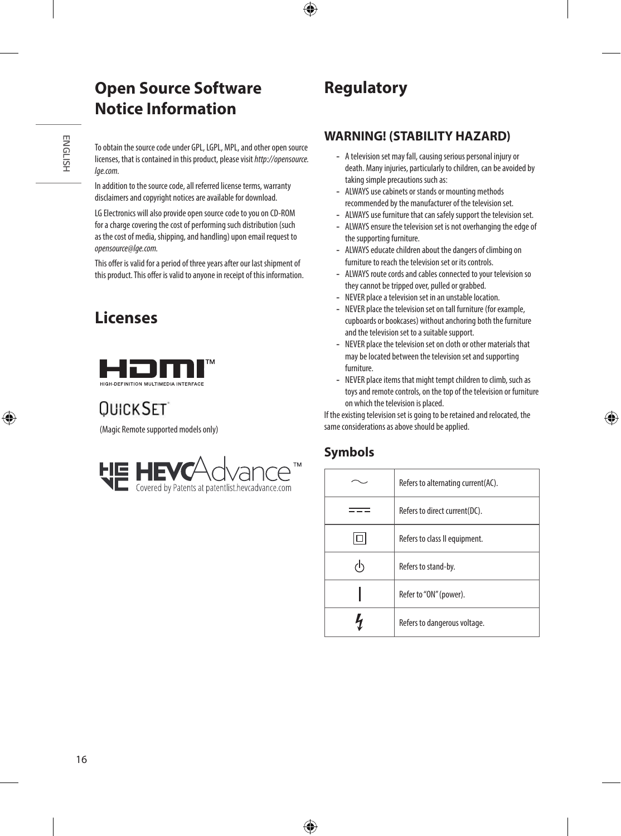### **Open Source Software Notice Information**

To obtain the source code under GPL, LGPL, MPL, and other open source licenses, that is contained in this product, please visit *[http://opensource.](http://opensource.lge.com) [lge.com](http://opensource.lge.com).*

In addition to the source code, all referred license terms, warranty disclaimers and copyright notices are available for download.

LG Electronics will also provide open source code to you on CD-ROM for a charge covering the cost of performing such distribution (such as the cost of media, shipping, and handling) upon email request to *opensource@lge.com.*

This offer is valid for a period of three years after our last shipment of this product. This offer is valid to anyone in receipt of this information.

# **Licenses**



# **OUICKSET**

(Magic Remote supported models only)



# **Regulatory**

### **WARNING! (STABILITY HAZARD)**

- A television set may fall, causing serious personal injury or death. Many injuries, particularly to children, can be avoided by taking simple precautions such as:
- ALWAYS use cabinets or stands or mounting methods recommended by the manufacturer of the television set.
- ALWAYS use furniture that can safely support the television set.
- ALWAYS ensure the television set is not overhanging the edge of the supporting furniture.
- ALWAYS educate children about the dangers of climbing on furniture to reach the television set or its controls.
- ALWAYS route cords and cables connected to your television so they cannot be tripped over, pulled or grabbed.
- NEVER place a television set in an unstable location.
- NEVER place the television set on tall furniture (for example, cupboards or bookcases) without anchoring both the furniture and the television set to a suitable support.
- NEVER place the television set on cloth or other materials that may be located between the television set and supporting furniture.
- NEVER place items that might tempt children to climb, such as toys and remote controls, on the top of the television or furniture on which the television is placed.

If the existing television set is going to be retained and relocated, the same considerations as above should be applied.

### **Symbols**

|    | Refers to alternating current(AC). |
|----|------------------------------------|
|    | Refers to direct current(DC).      |
|    | Refers to class II equipment.      |
| rh | Refers to stand-by.                |
|    | Refer to "ON" (power).             |
|    | Refers to dangerous voltage.       |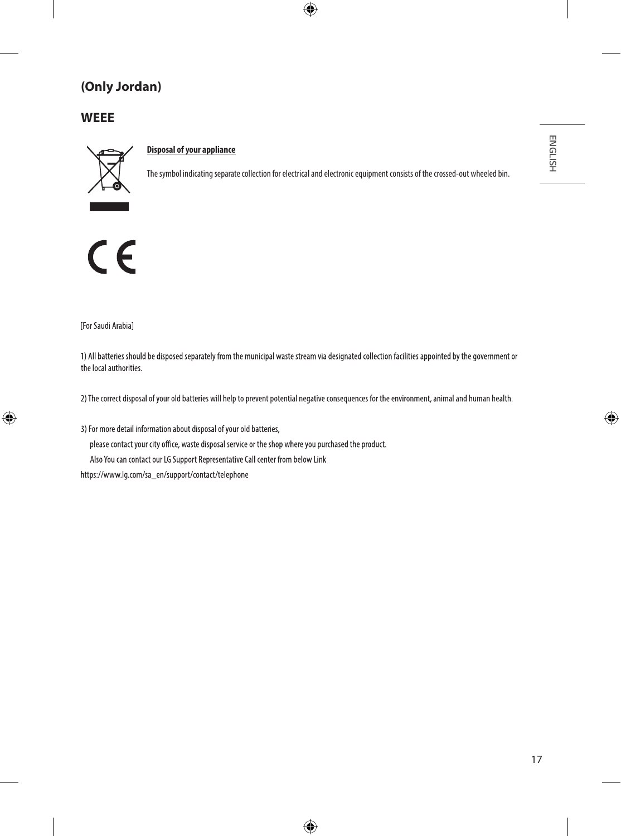### **(Only Jordan)**

### **WEEE**



#### **Disposal of your appliance**

The symbol indicating separate collection for electrical and electronic equipment consists of the crossed-out wheeled bin.

 $C<sub>1</sub>$ 

[For Saudi Arabia]

1) All batteries should be disposed separately from the municipal waste stream via designated collection facilities appointed by the government or the local authorities.

2) The correct disposal of your old batteries will help to prevent potential negative consequences for the environment, animal and human health.

3) For more detail information about disposal of your old batteries,

please contact your city office, waste disposal service or the shop where you purchased the product.

Also You can contact our LG Support Representative Call center from below Link

https://www.lq.com/sa\_en/support/contact/telephone